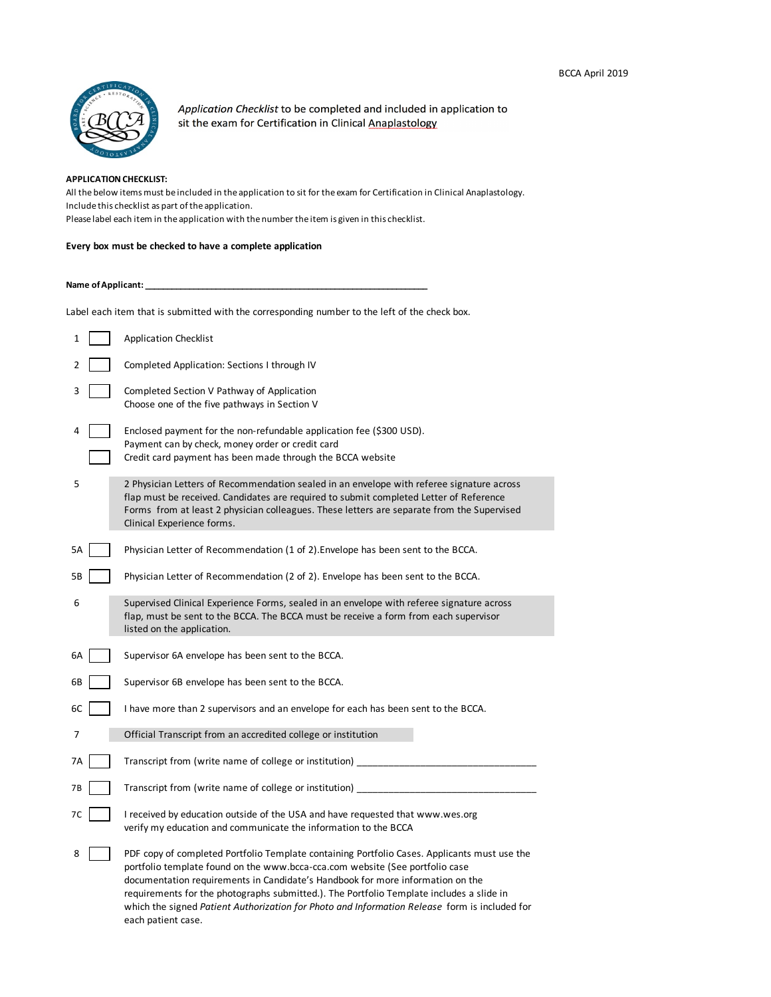

Application Checklist to be completed and included in application to sit the exam for Certification in Clinical Anaplastology

## **APPLICATION CHECKLIST:**

All the below items must be included in the application to sit for the exam for Certification in Clinical Anaplastology. Include this checklist as part of the application. Please label each item in the application with the number the item is given in this checklist.

#### **Every box must be checked to have a complete application**

#### Name of Applicant:

Label each item that is submitted with the corresponding number to the left of the check box.

| 1  | <b>Application Checklist</b>                                                                                                                                                                                                                                                                                                                                                                                                                                                      |
|----|-----------------------------------------------------------------------------------------------------------------------------------------------------------------------------------------------------------------------------------------------------------------------------------------------------------------------------------------------------------------------------------------------------------------------------------------------------------------------------------|
| 2  | Completed Application: Sections I through IV                                                                                                                                                                                                                                                                                                                                                                                                                                      |
| 3  | Completed Section V Pathway of Application<br>Choose one of the five pathways in Section V                                                                                                                                                                                                                                                                                                                                                                                        |
| 4  | Enclosed payment for the non-refundable application fee (\$300 USD).<br>Payment can by check, money order or credit card<br>Credit card payment has been made through the BCCA website                                                                                                                                                                                                                                                                                            |
| 5  | 2 Physician Letters of Recommendation sealed in an envelope with referee signature across<br>flap must be received. Candidates are required to submit completed Letter of Reference<br>Forms from at least 2 physician colleagues. These letters are separate from the Supervised<br>Clinical Experience forms.                                                                                                                                                                   |
| 5A | Physician Letter of Recommendation (1 of 2). Envelope has been sent to the BCCA.                                                                                                                                                                                                                                                                                                                                                                                                  |
| 5Β | Physician Letter of Recommendation (2 of 2). Envelope has been sent to the BCCA.                                                                                                                                                                                                                                                                                                                                                                                                  |
| 6  | Supervised Clinical Experience Forms, sealed in an envelope with referee signature across<br>flap, must be sent to the BCCA. The BCCA must be receive a form from each supervisor<br>listed on the application.                                                                                                                                                                                                                                                                   |
| 6A | Supervisor 6A envelope has been sent to the BCCA.                                                                                                                                                                                                                                                                                                                                                                                                                                 |
| 6В | Supervisor 6B envelope has been sent to the BCCA.                                                                                                                                                                                                                                                                                                                                                                                                                                 |
| 6C | I have more than 2 supervisors and an envelope for each has been sent to the BCCA.                                                                                                                                                                                                                                                                                                                                                                                                |
| 7  | Official Transcript from an accredited college or institution                                                                                                                                                                                                                                                                                                                                                                                                                     |
| 7Α | Transcript from (write name of college or institution)                                                                                                                                                                                                                                                                                                                                                                                                                            |
| 7В | Transcript from (write name of college or institution)                                                                                                                                                                                                                                                                                                                                                                                                                            |
| 7C | I received by education outside of the USA and have requested that www.wes.org<br>verify my education and communicate the information to the BCCA                                                                                                                                                                                                                                                                                                                                 |
| 8  | PDF copy of completed Portfolio Template containing Portfolio Cases. Applicants must use the<br>portfolio template found on the www.bcca-cca.com website (See portfolio case<br>documentation requirements in Candidate's Handbook for more information on the<br>requirements for the photographs submitted.). The Portfolio Template includes a slide in<br>which the signed Patient Authorization for Photo and Information Release form is included for<br>each patient case. |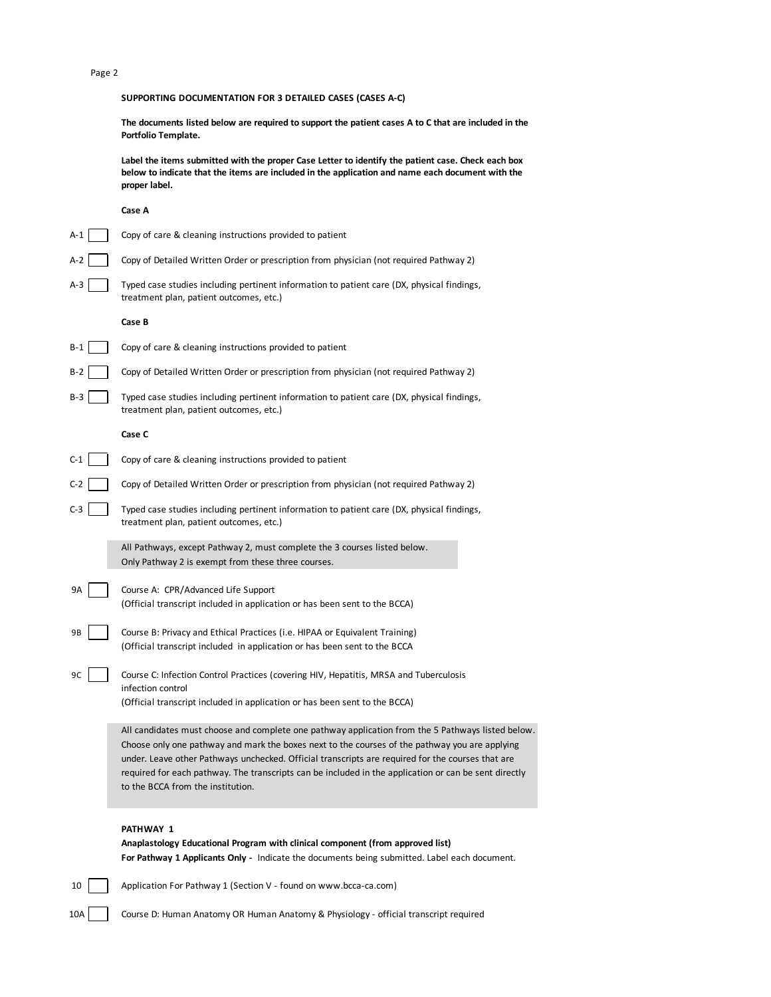#### Page 2

## **SUPPORTING DOCUMENTATION FOR 3 DETAILED CASES (CASES A-C)**

**The documents listed below are required to support the patient cases A to C that are included in the Portfolio Template.** 

**Label the items submitted with the proper Case Letter to identify the patient case. Check each box below to indicate that the items are included in the application and name each document with the proper label.** 

#### **Case A**

|       | asc m                                                                                                                                                                                                                                                                                                                                                                                                                                                  |
|-------|--------------------------------------------------------------------------------------------------------------------------------------------------------------------------------------------------------------------------------------------------------------------------------------------------------------------------------------------------------------------------------------------------------------------------------------------------------|
| A-1   | Copy of care & cleaning instructions provided to patient                                                                                                                                                                                                                                                                                                                                                                                               |
| A-2   | Copy of Detailed Written Order or prescription from physician (not required Pathway 2)                                                                                                                                                                                                                                                                                                                                                                 |
| A-3   | Typed case studies including pertinent information to patient care (DX, physical findings,<br>treatment plan, patient outcomes, etc.)                                                                                                                                                                                                                                                                                                                  |
|       | Case B                                                                                                                                                                                                                                                                                                                                                                                                                                                 |
| $B-1$ | Copy of care & cleaning instructions provided to patient                                                                                                                                                                                                                                                                                                                                                                                               |
| B-2   | Copy of Detailed Written Order or prescription from physician (not required Pathway 2)                                                                                                                                                                                                                                                                                                                                                                 |
| B-3   | Typed case studies including pertinent information to patient care (DX, physical findings,<br>treatment plan, patient outcomes, etc.)                                                                                                                                                                                                                                                                                                                  |
|       | Case C                                                                                                                                                                                                                                                                                                                                                                                                                                                 |
| C-1   | Copy of care & cleaning instructions provided to patient                                                                                                                                                                                                                                                                                                                                                                                               |
| C-2   | Copy of Detailed Written Order or prescription from physician (not required Pathway 2)                                                                                                                                                                                                                                                                                                                                                                 |
| $C-3$ | Typed case studies including pertinent information to patient care (DX, physical findings,<br>treatment plan, patient outcomes, etc.)                                                                                                                                                                                                                                                                                                                  |
|       | All Pathways, except Pathway 2, must complete the 3 courses listed below.<br>Only Pathway 2 is exempt from these three courses.                                                                                                                                                                                                                                                                                                                        |
| 9A    | Course A: CPR/Advanced Life Support<br>(Official transcript included in application or has been sent to the BCCA)                                                                                                                                                                                                                                                                                                                                      |
| 9Β    | Course B: Privacy and Ethical Practices (i.e. HIPAA or Equivalent Training)<br>(Official transcript included in application or has been sent to the BCCA                                                                                                                                                                                                                                                                                               |
| 9C    | Course C: Infection Control Practices (covering HIV, Hepatitis, MRSA and Tuberculosis<br>infection control<br>(Official transcript included in application or has been sent to the BCCA)                                                                                                                                                                                                                                                               |
|       | All candidates must choose and complete one pathway application from the 5 Pathways listed below.<br>Choose only one pathway and mark the boxes next to the courses of the pathway you are applying<br>under. Leave other Pathways unchecked. Official transcripts are required for the courses that are<br>required for each pathway. The transcripts can be included in the application or can be sent directly<br>to the BCCA from the institution. |

## **PATHWAY 1**

**Anaplastology Educational Program with clinical component (from approved list) For Pathway 1 Applicants Only -** Indicate the documents being submitted. Label each document.

10 Application For Pathway 1 (Section V - found on www.bcca-ca.com)

10A Course D: Human Anatomy OR Human Anatomy & Physiology - official transcript required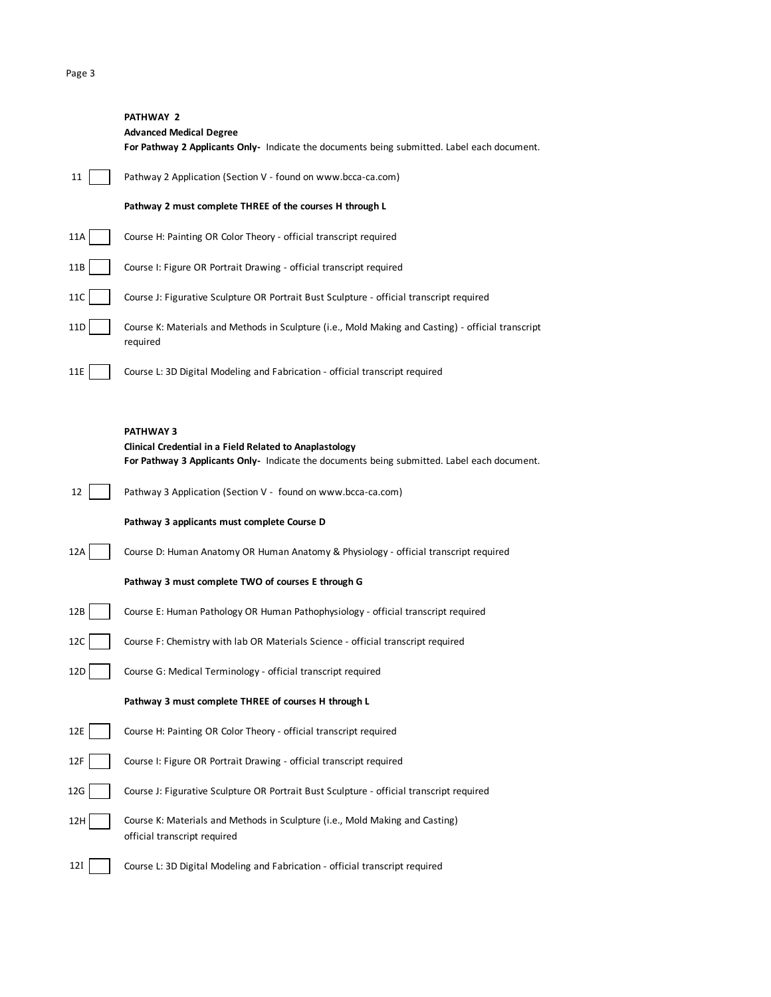#### Page 3

# **PATHWAY 2 Advanced Medical Degree For Pathway 2 Applicants Only-** Indicate the documents being submitted. Label each document. 11 | Pathway 2 Application (Section V - found on www.bcca-ca.com) **Pathway 2 must complete THREE of the courses H through L**  11A Course H: Painting OR Color Theory - official transcript required 11B Course I: Figure OR Portrait Drawing - official transcript required 11C | Course J: Figurative Sculpture OR Portrait Bust Sculpture - official transcript required 11D Course K: Materials and Methods in Sculpture (i.e., Mold Making and Casting) - official transcript required 11E Course L: 3D Digital Modeling and Fabrication - official transcript required **PATHWAY 3**

|                 | Clinical Credential in a Field Related to Anaplastology<br>For Pathway 3 Applicants Only- Indicate the documents being submitted. Label each document. |
|-----------------|--------------------------------------------------------------------------------------------------------------------------------------------------------|
| 12              | Pathway 3 Application (Section V - found on www.bcca-ca.com)                                                                                           |
|                 | Pathway 3 applicants must complete Course D                                                                                                            |
| 12A             | Course D: Human Anatomy OR Human Anatomy & Physiology - official transcript required                                                                   |
|                 | Pathway 3 must complete TWO of courses E through G                                                                                                     |
| 12B             | Course E: Human Pathology OR Human Pathophysiology - official transcript required                                                                      |
| 12C             | Course F: Chemistry with lab OR Materials Science - official transcript required                                                                       |
| 12 <sub>D</sub> | Course G: Medical Terminology - official transcript required                                                                                           |
|                 | Pathway 3 must complete THREE of courses H through L                                                                                                   |
| 12E             | Course H: Painting OR Color Theory - official transcript required                                                                                      |
| 12F             | Course I: Figure OR Portrait Drawing - official transcript required                                                                                    |
| 12G             | Course J: Figurative Sculpture OR Portrait Bust Sculpture - official transcript required                                                               |
| 12H             | Course K: Materials and Methods in Sculpture (i.e., Mold Making and Casting)<br>official transcript required                                           |
| 12 I            | Course L: 3D Digital Modeling and Fabrication - official transcript required                                                                           |